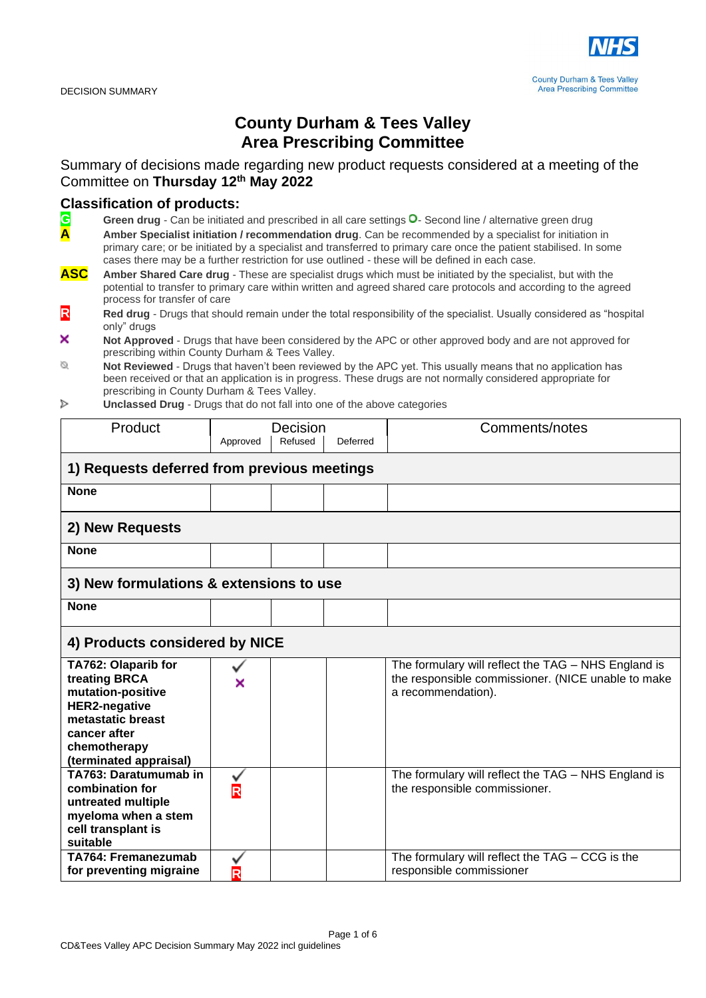

## **County Durham & Tees Valley Area Prescribing Committee**

Summary of decisions made regarding new product requests considered at a meeting of the Committee on **Thursday 12 th May 2022**

## **Classification of products:**<br>**C** Green drug - Can be initiated

Green drug - Can be initiated and prescribed in all care settings <sup>O</sup>- Second line / alternative green drug

**A Amber Specialist initiation / recommendation drug**. Can be recommended by a specialist for initiation in primary care; or be initiated by a specialist and transferred to primary care once the patient stabilised. In some cases there may be a further restriction for use outlined - these will be defined in each case.

- **ASC Amber Shared Care drug** These are specialist drugs which must be initiated by the specialist, but with the potential to transfer to primary care within written and agreed shared care protocols and according to the agreed process for transfer of care
- **R Red drug** Drugs that should remain under the total responsibility of the specialist. Usually considered as "hospital only" drugs
- × **Not Approved** - Drugs that have been considered by the APC or other approved body and are not approved for prescribing within County Durham & Tees Valley.
- Ø **Not Reviewed** - Drugs that haven't been reviewed by the APC yet. This usually means that no application has been received or that an application is in progress. These drugs are not normally considered appropriate for prescribing in County Durham & Tees Valley.
- **Unclassed Drug** Drugs that do not fall into one of the above categories Þ

| Product                                                                                                                                                          | Approved                | Decision<br>Refused | Deferred | Comments/notes                                                                                                                  |  |
|------------------------------------------------------------------------------------------------------------------------------------------------------------------|-------------------------|---------------------|----------|---------------------------------------------------------------------------------------------------------------------------------|--|
| 1) Requests deferred from previous meetings                                                                                                                      |                         |                     |          |                                                                                                                                 |  |
| <b>None</b>                                                                                                                                                      |                         |                     |          |                                                                                                                                 |  |
| 2) New Requests                                                                                                                                                  |                         |                     |          |                                                                                                                                 |  |
| <b>None</b>                                                                                                                                                      |                         |                     |          |                                                                                                                                 |  |
| 3) New formulations & extensions to use                                                                                                                          |                         |                     |          |                                                                                                                                 |  |
| <b>None</b>                                                                                                                                                      |                         |                     |          |                                                                                                                                 |  |
| 4) Products considered by NICE                                                                                                                                   |                         |                     |          |                                                                                                                                 |  |
| TA762: Olaparib for<br>treating BRCA<br>mutation-positive<br><b>HER2-negative</b><br>metastatic breast<br>cancer after<br>chemotherapy<br>(terminated appraisal) | ×                       |                     |          | The formulary will reflect the TAG - NHS England is<br>the responsible commissioner. (NICE unable to make<br>a recommendation). |  |
| TA763: Daratumumab in<br>combination for<br>untreated multiple<br>myeloma when a stem<br>cell transplant is<br>suitable                                          | $\overline{\mathsf{R}}$ |                     |          | The formulary will reflect the TAG - NHS England is<br>the responsible commissioner.                                            |  |
| <b>TA764: Fremanezumab</b><br>for preventing migraine                                                                                                            | R                       |                     |          | The formulary will reflect the TAG - CCG is the<br>responsible commissioner                                                     |  |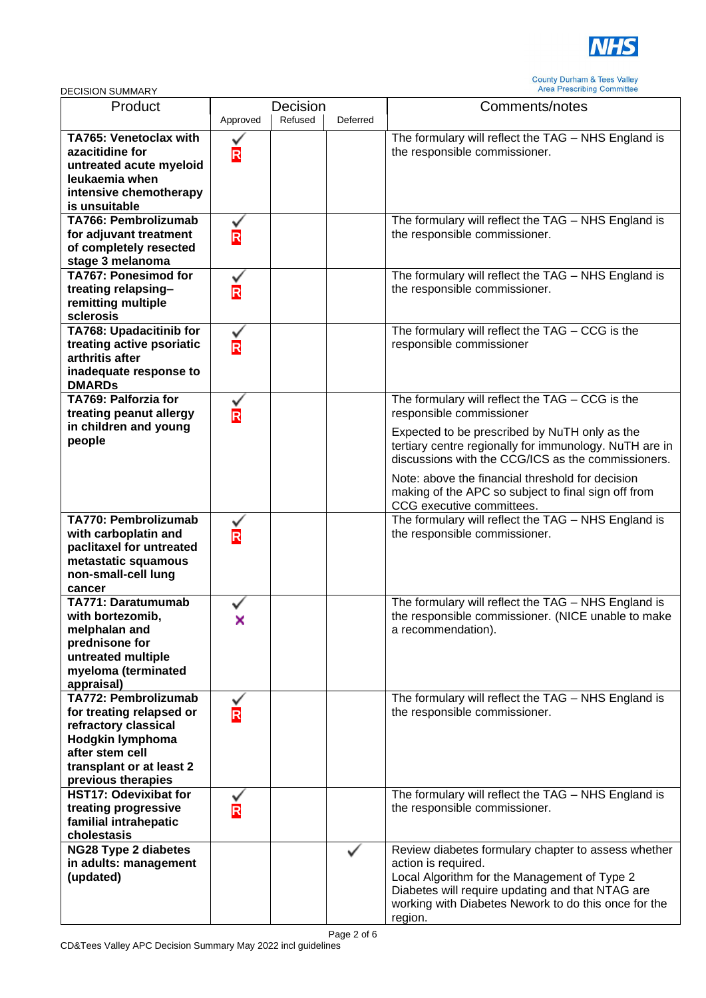

| Product                        | Decision                        |         |          | Comments/notes                                         |
|--------------------------------|---------------------------------|---------|----------|--------------------------------------------------------|
|                                | Approved                        | Refused | Deferred |                                                        |
| TA765: Venetoclax with         |                                 |         |          | The formulary will reflect the TAG - NHS England is    |
| azacitidine for                | $\overline{\mathsf{R}}$         |         |          | the responsible commissioner.                          |
| untreated acute myeloid        |                                 |         |          |                                                        |
| leukaemia when                 |                                 |         |          |                                                        |
| intensive chemotherapy         |                                 |         |          |                                                        |
| is unsuitable                  |                                 |         |          |                                                        |
| TA766: Pembrolizumab           |                                 |         |          | The formulary will reflect the TAG - NHS England is    |
| for adjuvant treatment         | $\frac{\mathsf{v}}{\mathsf{R}}$ |         |          | the responsible commissioner.                          |
| of completely resected         |                                 |         |          |                                                        |
| stage 3 melanoma               |                                 |         |          |                                                        |
| <b>TA767: Ponesimod for</b>    |                                 |         |          | The formulary will reflect the TAG - NHS England is    |
| treating relapsing-            | $\overline{\mathsf{R}}$         |         |          | the responsible commissioner.                          |
| remitting multiple             |                                 |         |          |                                                        |
| sclerosis                      |                                 |         |          |                                                        |
| <b>TA768: Upadacitinib for</b> |                                 |         |          | The formulary will reflect the TAG - CCG is the        |
| treating active psoriatic      |                                 |         |          | responsible commissioner                               |
| arthritis after                | $\overline{\mathsf{R}}$         |         |          |                                                        |
| inadequate response to         |                                 |         |          |                                                        |
| <b>DMARDS</b>                  |                                 |         |          |                                                        |
| TA769: Palforzia for           |                                 |         |          | The formulary will reflect the TAG - CCG is the        |
| treating peanut allergy        | $\frac{\mathsf{v}}{\mathsf{R}}$ |         |          | responsible commissioner                               |
| in children and young          |                                 |         |          |                                                        |
| people                         |                                 |         |          | Expected to be prescribed by NuTH only as the          |
|                                |                                 |         |          | tertiary centre regionally for immunology. NuTH are in |
|                                |                                 |         |          | discussions with the CCG/ICS as the commissioners.     |
|                                |                                 |         |          | Note: above the financial threshold for decision       |
|                                |                                 |         |          | making of the APC so subject to final sign off from    |
|                                |                                 |         |          | CCG executive committees.                              |
| TA770: Pembrolizumab           |                                 |         |          | The formulary will reflect the TAG - NHS England is    |
| with carboplatin and           | $\frac{v}{R}$                   |         |          | the responsible commissioner.                          |
| paclitaxel for untreated       |                                 |         |          |                                                        |
| metastatic squamous            |                                 |         |          |                                                        |
| non-small-cell lung            |                                 |         |          |                                                        |
| cancer                         |                                 |         |          |                                                        |
| <b>TA771: Daratumumab</b>      |                                 |         |          | The formulary will reflect the TAG - NHS England is    |
| with bortezomib,               | ×                               |         |          | the responsible commissioner. (NICE unable to make     |
| melphalan and                  |                                 |         |          | a recommendation).                                     |
| prednisone for                 |                                 |         |          |                                                        |
| untreated multiple             |                                 |         |          |                                                        |
| myeloma (terminated            |                                 |         |          |                                                        |
| appraisal)                     |                                 |         |          |                                                        |
| <b>TA772: Pembrolizumab</b>    |                                 |         |          | The formulary will reflect the TAG - NHS England is    |
| for treating relapsed or       | $\check{\mathbf{R}}$            |         |          | the responsible commissioner.                          |
| refractory classical           |                                 |         |          |                                                        |
| Hodgkin lymphoma               |                                 |         |          |                                                        |
| after stem cell                |                                 |         |          |                                                        |
| transplant or at least 2       |                                 |         |          |                                                        |
| previous therapies             |                                 |         |          |                                                        |
| <b>HST17: Odevixibat for</b>   |                                 |         |          | The formulary will reflect the TAG - NHS England is    |
| treating progressive           | $\overline{\mathsf{R}}$         |         |          | the responsible commissioner.                          |
| familial intrahepatic          |                                 |         |          |                                                        |
| cholestasis                    |                                 |         |          |                                                        |
| <b>NG28 Type 2 diabetes</b>    |                                 |         |          | Review diabetes formulary chapter to assess whether    |
| in adults: management          |                                 |         |          | action is required.                                    |
| (updated)                      |                                 |         |          | Local Algorithm for the Management of Type 2           |
|                                |                                 |         |          | Diabetes will require updating and that NTAG are       |
|                                |                                 |         |          | working with Diabetes Nework to do this once for the   |
|                                |                                 |         |          | region.                                                |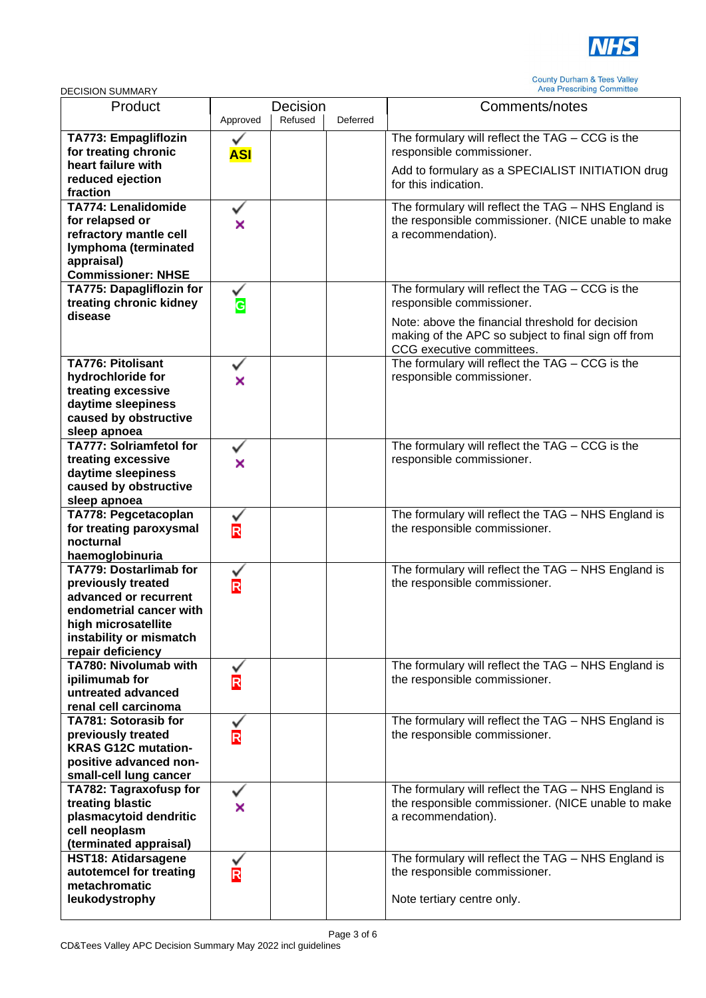

| Product                                              | Decision                |         |          | Comments/notes                                                                       |
|------------------------------------------------------|-------------------------|---------|----------|--------------------------------------------------------------------------------------|
|                                                      | Approved                | Refused | Deferred |                                                                                      |
| TA773: Empagliflozin                                 |                         |         |          | The formulary will reflect the TAG - CCG is the                                      |
| for treating chronic<br>heart failure with           | <b>ASI</b>              |         |          | responsible commissioner.                                                            |
| reduced ejection                                     |                         |         |          | Add to formulary as a SPECIALIST INITIATION drug                                     |
| fraction                                             |                         |         |          | for this indication.                                                                 |
| <b>TA774: Lenalidomide</b>                           |                         |         |          | The formulary will reflect the TAG - NHS England is                                  |
| for relapsed or                                      | ×                       |         |          | the responsible commissioner. (NICE unable to make                                   |
| refractory mantle cell<br>lymphoma (terminated       |                         |         |          | a recommendation).                                                                   |
| appraisal)                                           |                         |         |          |                                                                                      |
| <b>Commissioner: NHSE</b>                            |                         |         |          |                                                                                      |
| TA775: Dapagliflozin for                             |                         |         |          | The formulary will reflect the TAG - CCG is the                                      |
| treating chronic kidney                              | у<br>С                  |         |          | responsible commissioner.                                                            |
| disease                                              |                         |         |          | Note: above the financial threshold for decision                                     |
|                                                      |                         |         |          | making of the APC so subject to final sign off from                                  |
| <b>TA776: Pitolisant</b>                             |                         |         |          | CCG executive committees.                                                            |
| hydrochloride for                                    | ×                       |         |          | The formulary will reflect the TAG - CCG is the<br>responsible commissioner.         |
| treating excessive                                   |                         |         |          |                                                                                      |
| daytime sleepiness                                   |                         |         |          |                                                                                      |
| caused by obstructive                                |                         |         |          |                                                                                      |
| sleep apnoea<br><b>TA777: Solriamfetol for</b>       |                         |         |          | The formulary will reflect the TAG - CCG is the                                      |
| treating excessive                                   | ×                       |         |          | responsible commissioner.                                                            |
| daytime sleepiness                                   |                         |         |          |                                                                                      |
| caused by obstructive                                |                         |         |          |                                                                                      |
| sleep apnoea                                         |                         |         |          |                                                                                      |
| TA778: Pegcetacoplan<br>for treating paroxysmal      |                         |         |          | The formulary will reflect the TAG - NHS England is<br>the responsible commissioner. |
| nocturnal                                            | R                       |         |          |                                                                                      |
| haemoglobinuria                                      |                         |         |          |                                                                                      |
| TA779: Dostarlimab for                               |                         |         |          | The formulary will reflect the TAG - NHS England is                                  |
| previously treated                                   | R                       |         |          | the responsible commissioner.                                                        |
| advanced or recurrent<br>endometrial cancer with     |                         |         |          |                                                                                      |
| high microsatellite                                  |                         |         |          |                                                                                      |
| instability or mismatch                              |                         |         |          |                                                                                      |
| repair deficiency                                    |                         |         |          |                                                                                      |
| TA780: Nivolumab with<br>ipilimumab for              |                         |         |          | The formulary will reflect the TAG - NHS England is                                  |
| untreated advanced                                   | R                       |         |          | the responsible commissioner.                                                        |
| renal cell carcinoma                                 |                         |         |          |                                                                                      |
| TA781: Sotorasib for                                 |                         |         |          | The formulary will reflect the TAG - NHS England is                                  |
| previously treated                                   | $\frac{v}{R}$           |         |          | the responsible commissioner.                                                        |
| <b>KRAS G12C mutation-</b><br>positive advanced non- |                         |         |          |                                                                                      |
| small-cell lung cancer                               |                         |         |          |                                                                                      |
| TA782: Tagraxofusp for                               | ✓                       |         |          | The formulary will reflect the TAG - NHS England is                                  |
| treating blastic                                     | ×                       |         |          | the responsible commissioner. (NICE unable to make                                   |
| plasmacytoid dendritic                               |                         |         |          | a recommendation).                                                                   |
| cell neoplasm                                        |                         |         |          |                                                                                      |
| (terminated appraisal)<br><b>HST18: Atidarsagene</b> |                         |         |          | The formulary will reflect the TAG - NHS England is                                  |
| autotemcel for treating                              | $\overline{\mathsf{R}}$ |         |          | the responsible commissioner.                                                        |
| metachromatic                                        |                         |         |          |                                                                                      |
| leukodystrophy                                       |                         |         |          | Note tertiary centre only.                                                           |
|                                                      |                         |         |          |                                                                                      |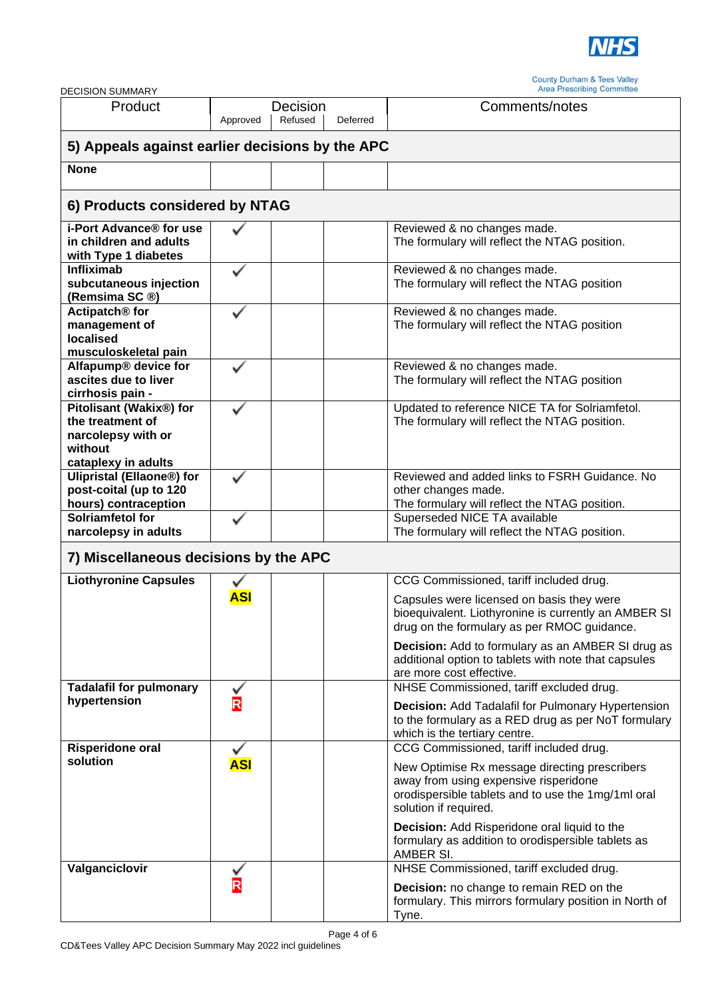

| <b>DECISION SUMMARY</b>                                                                             |            |                     |          | <b>Area Prescribing Committee</b>                                                                                                                                                                                                                                                                                                           |  |
|-----------------------------------------------------------------------------------------------------|------------|---------------------|----------|---------------------------------------------------------------------------------------------------------------------------------------------------------------------------------------------------------------------------------------------------------------------------------------------------------------------------------------------|--|
| Product                                                                                             | Approved   | Decision<br>Refused | Deferred | Comments/notes                                                                                                                                                                                                                                                                                                                              |  |
| 5) Appeals against earlier decisions by the APC                                                     |            |                     |          |                                                                                                                                                                                                                                                                                                                                             |  |
| <b>None</b>                                                                                         |            |                     |          |                                                                                                                                                                                                                                                                                                                                             |  |
| 6) Products considered by NTAG                                                                      |            |                     |          |                                                                                                                                                                                                                                                                                                                                             |  |
| i-Port Advance® for use<br>in children and adults<br>with Type 1 diabetes                           |            |                     |          | Reviewed & no changes made.<br>The formulary will reflect the NTAG position.                                                                                                                                                                                                                                                                |  |
| <b>Infliximab</b><br>subcutaneous injection<br>(Remsima SC ®)                                       |            |                     |          | Reviewed & no changes made.<br>The formulary will reflect the NTAG position                                                                                                                                                                                                                                                                 |  |
| Actipatch <sup>®</sup> for<br>management of<br><b>localised</b><br>musculoskeletal pain             |            |                     |          | Reviewed & no changes made.<br>The formulary will reflect the NTAG position                                                                                                                                                                                                                                                                 |  |
| Alfapump® device for<br>ascites due to liver<br>cirrhosis pain -                                    |            |                     |          | Reviewed & no changes made.<br>The formulary will reflect the NTAG position                                                                                                                                                                                                                                                                 |  |
| Pitolisant (Wakix®) for<br>the treatment of<br>narcolepsy with or<br>without<br>cataplexy in adults |            |                     |          | Updated to reference NICE TA for Solriamfetol.<br>The formulary will reflect the NTAG position.                                                                                                                                                                                                                                             |  |
| <b>Ulipristal (Ellaone®) for</b><br>post-coital (up to 120<br>hours) contraception                  |            |                     |          | Reviewed and added links to FSRH Guidance. No<br>other changes made.<br>The formulary will reflect the NTAG position.                                                                                                                                                                                                                       |  |
| Solriamfetol for<br>narcolepsy in adults                                                            |            |                     |          | Superseded NICE TA available<br>The formulary will reflect the NTAG position.                                                                                                                                                                                                                                                               |  |
| 7) Miscellaneous decisions by the APC                                                               |            |                     |          |                                                                                                                                                                                                                                                                                                                                             |  |
| <b>Liothyronine Capsules</b>                                                                        | <b>ASI</b> |                     |          | CCG Commissioned, tariff included drug.<br>Capsules were licensed on basis they were<br>bioequivalent. Liothyronine is currently an AMBER SI<br>drug on the formulary as per RMOC guidance.<br><b>Decision:</b> Add to formulary as an AMBER SI drug as<br>additional option to tablets with note that capsules<br>are more cost effective. |  |
| <b>Tadalafil for pulmonary</b><br>hypertension                                                      | R          |                     |          | NHSE Commissioned, tariff excluded drug.<br><b>Decision:</b> Add Tadalafil for Pulmonary Hypertension<br>to the formulary as a RED drug as per NoT formulary<br>which is the tertiary centre.                                                                                                                                               |  |
| <b>Risperidone oral</b><br>solution                                                                 | <b>ASI</b> |                     |          | CCG Commissioned, tariff included drug.<br>New Optimise Rx message directing prescribers<br>away from using expensive risperidone<br>orodispersible tablets and to use the 1mg/1ml oral<br>solution if required.<br>Decision: Add Risperidone oral liquid to the                                                                            |  |
| Valganciclovir                                                                                      |            |                     |          | formulary as addition to orodispersible tablets as<br>AMBER SI.<br>NHSE Commissioned, tariff excluded drug.<br>Decision: no change to remain RED on the<br>formulary. This mirrors formulary position in North of<br>Tyne.                                                                                                                  |  |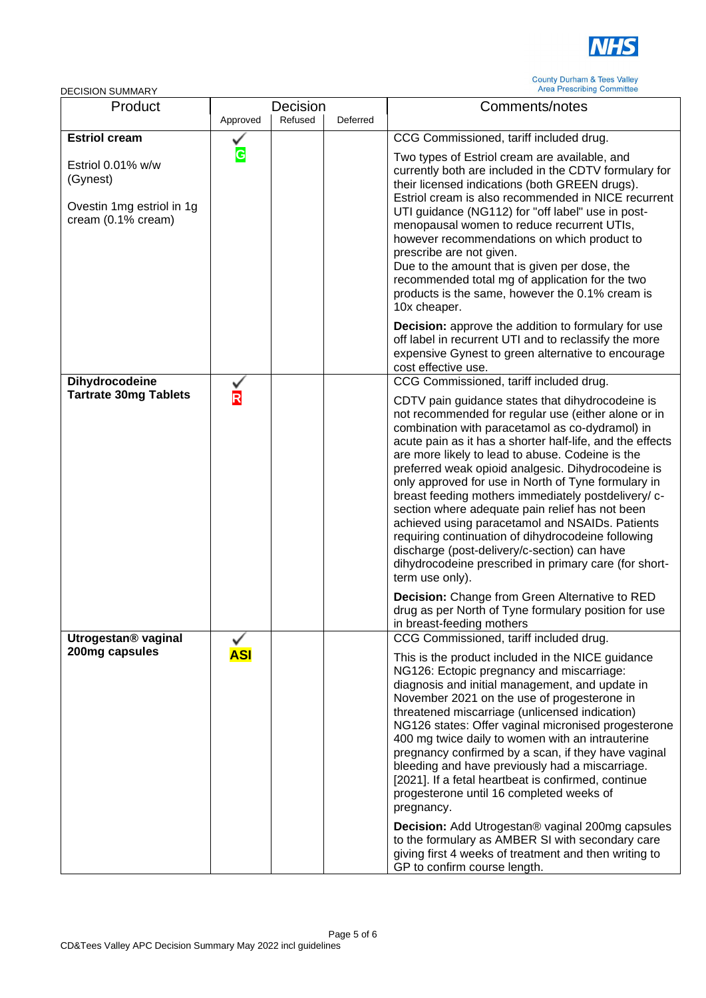

| ו רואוועוטט ווטוטוטבע                                                            |                         |                     |          |                                                                                                                                                                                                                                                                                                                                                                                                                                                                                                                                                                                                                                                                                                                                                                                                                                                                                |
|----------------------------------------------------------------------------------|-------------------------|---------------------|----------|--------------------------------------------------------------------------------------------------------------------------------------------------------------------------------------------------------------------------------------------------------------------------------------------------------------------------------------------------------------------------------------------------------------------------------------------------------------------------------------------------------------------------------------------------------------------------------------------------------------------------------------------------------------------------------------------------------------------------------------------------------------------------------------------------------------------------------------------------------------------------------|
| Product                                                                          | Approved                | Decision<br>Refused | Deferred | Comments/notes                                                                                                                                                                                                                                                                                                                                                                                                                                                                                                                                                                                                                                                                                                                                                                                                                                                                 |
| <b>Estriol cream</b>                                                             |                         |                     |          | CCG Commissioned, tariff included drug.                                                                                                                                                                                                                                                                                                                                                                                                                                                                                                                                                                                                                                                                                                                                                                                                                                        |
| Estriol 0.01% w/w<br>(Gynest)<br>Ovestin 1mg estriol in 1g<br>cream (0.1% cream) | G                       |                     |          | Two types of Estriol cream are available, and<br>currently both are included in the CDTV formulary for<br>their licensed indications (both GREEN drugs).<br>Estriol cream is also recommended in NICE recurrent<br>UTI guidance (NG112) for "off label" use in post-<br>menopausal women to reduce recurrent UTIs,<br>however recommendations on which product to<br>prescribe are not given.<br>Due to the amount that is given per dose, the<br>recommended total mg of application for the two<br>products is the same, however the 0.1% cream is<br>10x cheaper.                                                                                                                                                                                                                                                                                                           |
|                                                                                  |                         |                     |          | <b>Decision:</b> approve the addition to formulary for use<br>off label in recurrent UTI and to reclassify the more<br>expensive Gynest to green alternative to encourage<br>cost effective use.                                                                                                                                                                                                                                                                                                                                                                                                                                                                                                                                                                                                                                                                               |
| Dihydrocodeine                                                                   |                         |                     |          | CCG Commissioned, tariff included drug.                                                                                                                                                                                                                                                                                                                                                                                                                                                                                                                                                                                                                                                                                                                                                                                                                                        |
| <b>Tartrate 30mg Tablets</b>                                                     | $\overline{\mathsf{R}}$ |                     |          | CDTV pain guidance states that dihydrocodeine is<br>not recommended for regular use (either alone or in<br>combination with paracetamol as co-dydramol) in<br>acute pain as it has a shorter half-life, and the effects<br>are more likely to lead to abuse. Codeine is the<br>preferred weak opioid analgesic. Dihydrocodeine is<br>only approved for use in North of Tyne formulary in<br>breast feeding mothers immediately postdelivery/ c-<br>section where adequate pain relief has not been<br>achieved using paracetamol and NSAIDs. Patients<br>requiring continuation of dihydrocodeine following<br>discharge (post-delivery/c-section) can have<br>dihydrocodeine prescribed in primary care (for short-<br>term use only).<br>Decision: Change from Green Alternative to RED<br>drug as per North of Tyne formulary position for use<br>in breast-feeding mothers |
| Utrogestan® vaginal<br>200mg capsules                                            | <u>ASI</u>              |                     |          | CCG Commissioned, tariff included drug.<br>This is the product included in the NICE guidance<br>NG126: Ectopic pregnancy and miscarriage:<br>diagnosis and initial management, and update in<br>November 2021 on the use of progesterone in<br>threatened miscarriage (unlicensed indication)<br>NG126 states: Offer vaginal micronised progesterone<br>400 mg twice daily to women with an intrauterine<br>pregnancy confirmed by a scan, if they have vaginal<br>bleeding and have previously had a miscarriage.<br>[2021]. If a fetal heartbeat is confirmed, continue<br>progesterone until 16 completed weeks of<br>pregnancy.<br><b>Decision:</b> Add Utrogestan® vaginal 200mg capsules<br>to the formulary as AMBER SI with secondary care<br>giving first 4 weeks of treatment and then writing to<br>GP to confirm course length.                                    |